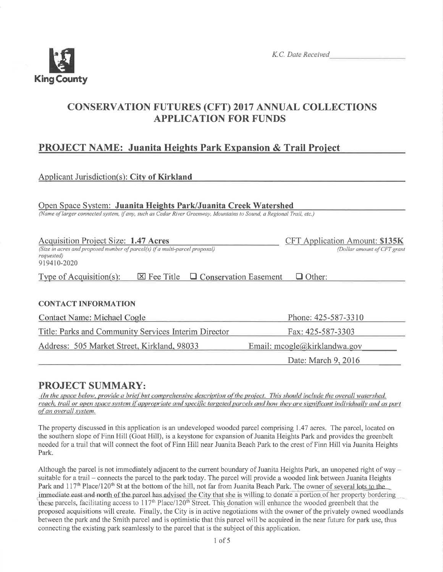

# CONSERVATION FUTURES (CFT) 2017 ANNUAL COLLECTIONS APPLICATION FOR FUNDS

# PROJECT NAME: Juanita Heights Park Expansion & Trail Project

## Applicant Jurisdiction(s): Citv of Kirkland

Open Space System: Juanita Heights Park/Juanita Creek Watershed

(Name of larger connected system, if any, such as Cedar River Greenway, Mountains to Sound, a Regional Trail, etc.)

| <b>Acquisition Project Size: 1.47 Acres</b><br>(Size in acres and proposed number of parcel(s) if a multi-parcel proposal)<br>requested)<br>919410-2020 | CFT Application Amount: \$135K<br>(Dollar amount of CFT grant |  |
|---------------------------------------------------------------------------------------------------------------------------------------------------------|---------------------------------------------------------------|--|
| $\boxtimes$ Fee Title $\Box$ Conservation Easement<br>Type of Acquisition(s):                                                                           | $\Box$ Other:                                                 |  |
|                                                                                                                                                         |                                                               |  |
| <b>CONTACT INFORMATION</b>                                                                                                                              |                                                               |  |
| Contact Name: Michael Cogle                                                                                                                             | Phone: 425-587-3310                                           |  |
| Title: Parks and Community Services Interim Director                                                                                                    | Fax: 425-587-3303                                             |  |
| Address: 505 Market Street, Kirkland, 98033                                                                                                             | Email: $m \text{cogle}(\partial x)$ kirklandwa.gov            |  |

Date: March  $9,2016$ 

## PROJECT SUMMARY:

(In the space below, provide a brief but comprehensive description of the project. This should include the overall watershed, reach, trail or open space system if appropriate and specific targeted parcels and how they are significant individually and as part of an overall system.

The property discussed in this application is an undeveloped wooded parcel comprising 1.47 acres. The parcel, located on the southern slope of Finn Hill (Goat Hill), is a keystone for expansion of Juanita Heights Park and provides the greenbelt needed for a trail that will connect the foot of Finn Hill near Juanita Beach Park to the crest of Finn Hill via Juanita Heights Park.

Although the parcel is not immediately adjacent to the current boundary of Juanita Heights Park, an unopened right of way suitable for a trail – connects the parcel to the park today. The parcel will provide a wooded link between Juanita Heights Park and 117<sup>th</sup> Place/120<sup>th</sup> St at the bottom of the hill, not far from Juanita Beach Park. The owner of several lots to the immediate east and north of the parcel has advised the City that she is willing to donate a portion of her property bordering these parcels, facilitating access to 117<sup>th</sup> Place/120<sup>th</sup> Street. This donation will enhance the wooded greenbelt that the proposed acquisitions will create. Finally, the City is in active negotiations with the owner of the privately owned woodlands between the park and the Smith parcel and is optimistic that this parcel will be acquired in the near future for park use, thus connecting the existing park seamlessly to the parcel that is the subject of this application.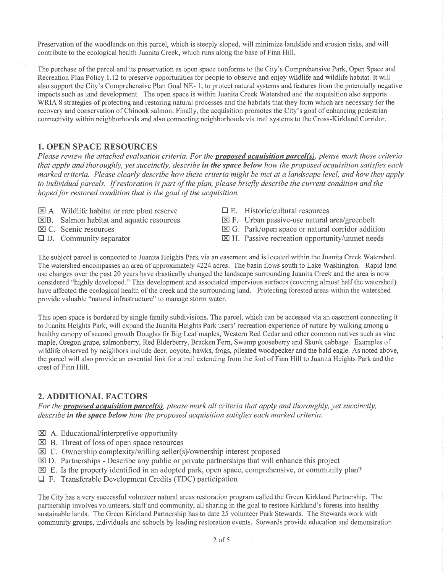Preservation of the woodlands on this parcel, which is steeply sloped, will minimize landslide and erosion risks, and will contribute to the ecological health Juanita Creek, which runs along the base of Finn Hill.

The purchase of the parcel and its preservation as open space conforms to the City's Comprehensive Park, Open Space and Recreation Plan Policy 1.72 to preserve opportunities for people to observe and enjoy wildlife and wildlife habitat. It will also support the City's Comprehensive Plan Goal NE- l, to protect natural systems and features from the potentially negative impacts such as land development. The open space is within Juanita Creek Watershed and the acquisition also supports WRIA 8 strategies of protecting and restoring natural processes and the habitats that they form which are necessary for the recovery and conservation of Chinook salmon. Finally, the acquisition promotes the City's goal of enhancing pedestrian connectivity within neighborhoods and also connecting neighborhoods via trail systems to the Cross-Kirkland Corridor.

#### 1. OPEN SPACE RESOURCES

Please review the attached evaluation criteria. For the **proposed acquisition parcel(s)**, please mark those criteria that apply and thoroughly, yet succinctly, describe in the space below how the proposed acquisition satisfies each marked criteria. Please clearly describe how these criteria might be met at a landscape level, and how they apply to individual parcels. If restoration is part of the plan, please briefly describe the current condition and the hoped for restored condition that is the goal of the acquisition.

- $\boxtimes$  A. Wildlife habitat or rare plant reserve
- EB. Salmon habitat and aquatic resources
- El C. Scenic resources
- $\Box$  D. Community separator
- $\Box$  E. Historic/cultural resources
- $\boxtimes$  F. Urban passive-use natural area/greenbelt
- $\boxtimes$  G. Park/open space or natural corridor addition
- $\boxtimes$  H. Passive recreation opportunity/unmet needs

The subject parcel is connected to Juanita Heights Park via an easement and is located within the Juanita Creek Watershed. The watershed encompasses an area of approximately 4224 acres. The basin flows south to Lake Washington. Rapid land use changes over the past 20 years have drastically changed the landscape surrounding Juanita Creek and the area is now considered "highly developed." This development and associated impervious surfaces (covering almost half the watershed) have affected the ecological health of the creek and the surrounding land. Protecting forested areas within the watershed provide valuable "natural infrastructure" to manage storm water.

This open space is bordered by single family subdivisions. The parcel, which can be accessed via an easement connecting it to Juanita Heights Park, will expand the Juanita Heights Park users' recreation experience of nature by walking among a healthy canopy of second growth Douglas fir Big Leaf maples, Western Red Cedar and other common natives such as vine maple, Oregon grape, salmonberry, Red Elderberry, Bracken Fern, Swamp gooseberry and Skunk cabbage. Examples of wildlife observed by neighbors include deer, coyote, hawks, frogs, pileated woodpecker and the bald eagle. As noted above, the parcel will also provide an essential link for a trail extending from the foot of Finn Hill to Juanita Heights Park and the crest of Finn Hill.

#### 2. ADDITIONAL FACTORS

For the **proposed acquisition parcel(s)**, please mark all criteria that apply and thoroughly, yet succinctly, describe in the space below how the proposed acquisition satisfies each marked criteria.

- $\boxtimes$  A. Educational/interpretive opportunity
- $\boxtimes$  B. Threat of loss of open space resources
- $\boxtimes$  C. Ownership complexity/willing seller(s)/ownership interest proposed
- $\boxtimes$  D. Partnerships Describe any public or private partnerships that will enhance this project
- $\boxtimes$  E. Is the property identified in an adopted park, open space, comprehensive, or community plan?
- $\Box$  F. Transferable Development Credits (TDC) participation

The City has a very successful volunteer natural areas restoration program called the Green Kirkland Partnership. The partnership involves volunteers, staff and community, all sharing in the goal to restore Kirkland's forests into healthy sustainable lands. The Green Kirkland Partnership has to date 25 volunteer Park Stewards. The Stewards work with community groups, individuals and schools by leading restoration events. Stewards provide education and demonstration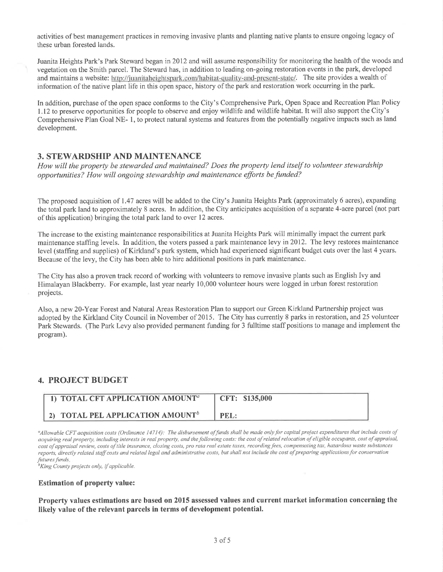activities of best management practices in removing invasive plants and planting native plants to ensure ongoing legacy of these urban forested lands.

Juanita Heights Park's Park Steward began in 2012 and will assume responsibility for monitoring the health of the woods and vegetation on the Smith parcel, The Steward has, in addition to leading on-going restoration events in the park, developed and maintains a website: http://juanitaheightspark.com/habitat-quality-and-present-state/. The site provides a wealth of information of the native plant life in this open space, history of the park and restoration work occurring in the park.

In addition, purchase of the open space conforms to the City's Comprehensive Park, Open Space and Recreation Plan Policy ll2 to preserve opportunities for people to observe and enjoy wildlife and wildlife habitat. It will also support the City's Comprehensive Plan Goal NE- l, to protect natural systems and features from the potentially negative impacts such as land development.

## 3. STEWARDSHIP AND MAINTENANCE

How will the property be stewarded and maintained? Does the property lend itself to volunteer stewardship opportunities? How will ongoing stewardship and maintenance efforts be funded?

The proposed acquisition of 1.47 acres will be added to the City's Juanita Heights Park (approximately 6 acres), expanding the total park land to approximately 8 acres. In addition, the City anticipates acquisition of a separate 4-acre parcel (not part of this application) bringing the total park land to over 12 acres.

The increase to the existing maintenance responsibilities at Juanita Heights Park will minimally impact the current park maintenance stafhng levels. In addition, the voters passed a park maintenance levy in20l2. The levy restores maintenance level (staffing and supplies) of Kirkland's park system, which had experienced significant budget cuts over the last 4 years. Because of the levy, the City has been able to hire additional positions in park maintenance.

The City has also a proven track record of working with volunteers to remove invasive plants such as English Ivy and Himalayan Blackberry. For example, last year nearly 10,000 volunteer hours were logged in urban forest restoration projects.

Also, a new 20-Year Forest and Natural Areas Restoration Plan to support our Green Kirkland Partnership project was adopted by the Kirkland City Council in November of 2015. The City has currently 8 parks in restoration, and 25 volunteer Park Stewards. (The Park Levy also provided permanent funding for 3 fulltime staff positions to manage and implement the program).

## 4. PROJECT BUDGET

| $\Box$ TOTAL CFT APPLICATION AMOUNT <sup>a</sup> | CFT: \$135,000 |
|--------------------------------------------------|----------------|
| 2) TOTAL PEL APPLICATION AMOUNT <sup>b</sup>     | PEL:           |

<sup>a</sup>Allowable CFT acquisition costs (Ordinance 14714): The disbursement of funds shall be made only for capital project expenditures that include costs of acquiring real property, including interests in real property, and the following costs: the cost of related relocation of eligible occupants, cost of appraisal, cost of appraisal review, costs of title insurance, closing costs, pro rata real estate taxes, recording fees, compensating tax, hazardous waste substances reports, directly related staff costs and related legal and administrative costs, but shall not include the cost of preparing applications for conservation<br>futures funds.

 ${}^{\text{b}}$ King County projects only, if applicable.

#### Estimation of property value:

Property values estimations are based on 2015 assessed values and current market information concerning the likely value of the relevant parcels in terms of development potential.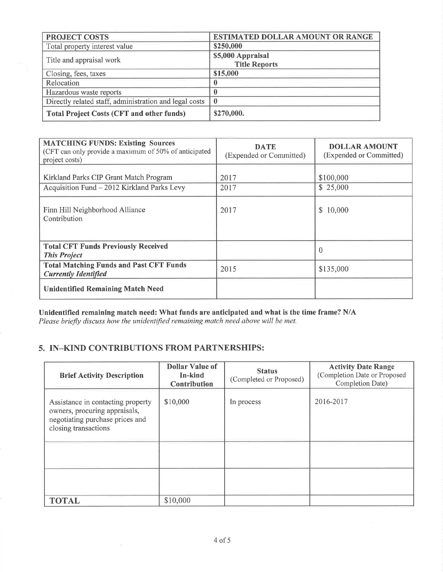| <b>PROJECT COSTS</b>                                   | <b>ESTIMATED DOLLAR AMOUNT OR RANGE</b> |  |
|--------------------------------------------------------|-----------------------------------------|--|
| Total property interest value                          | \$250,000                               |  |
|                                                        | \$5,000 Appraisal                       |  |
| Title and appraisal work                               | <b>Title Reports</b>                    |  |
| Closing, fees, taxes                                   | \$15,000                                |  |
| Relocation                                             | U                                       |  |
| Hazardous waste reports                                |                                         |  |
| Directly related staff, administration and legal costs | $\mathbf{0}$                            |  |
| <b>Total Project Costs (CFT and other funds)</b>       | \$270,000.                              |  |

| <b>MATCHING FUNDS: Existing Sources</b><br>(CFT can only provide a maximum of 50% of anticipated<br>project costs) | <b>DATE</b><br>(Expended or Committed) | <b>DOLLAR AMOUNT</b><br>(Expended or Committed) |
|--------------------------------------------------------------------------------------------------------------------|----------------------------------------|-------------------------------------------------|
| Kirkland Parks CIP Grant Match Program<br>Acquisition Fund - 2012 Kirkland Parks Levy                              | 2017<br>2017                           | \$100,000<br>\$25,000                           |
| Finn Hill Neighborhood Alliance<br>Contribution                                                                    | 2017                                   | \$10,000                                        |
| <b>Total CFT Funds Previously Received</b><br><b>This Project</b>                                                  |                                        | $\theta$                                        |
| <b>Total Matching Funds and Past CFT Funds</b><br><b>Currently Identified</b>                                      | 2015                                   | \$135,000                                       |
| <b>Unidentified Remaining Match Need</b>                                                                           |                                        |                                                 |

Unidentified remaining match need: What funds are anticipated and what is the time frame? N/A Please briefly discuss how the unidentified remaining match need above will be met.

## 5. IN\_KIND CONTRIBUTIONS FROM PARTNERSHIPS:

| <b>Brief Activity Description</b>                                                                                             | <b>Dollar Value of</b><br>In-kind<br><b>Contribution</b> | <b>Status</b><br>(Completed or Proposed) | <b>Activity Date Range</b><br>(Completion Date or Proposed<br>Completion Date) |
|-------------------------------------------------------------------------------------------------------------------------------|----------------------------------------------------------|------------------------------------------|--------------------------------------------------------------------------------|
| Assistance in contacting property<br>owners, procuring appraisals,<br>negotiating purchase prices and<br>closing transactions | \$10,000                                                 | In process                               | 2016-2017                                                                      |
|                                                                                                                               |                                                          |                                          |                                                                                |
|                                                                                                                               |                                                          |                                          |                                                                                |
| <b>TOTAL</b>                                                                                                                  | \$10,000                                                 |                                          |                                                                                |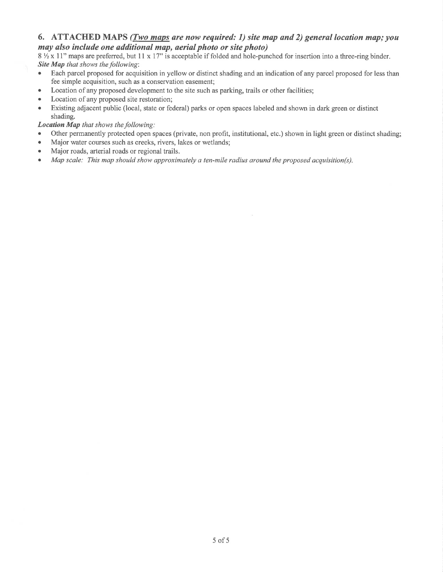## 6. ATTACHED MAPS (*Iwo maps are now required: 1) site map and 2) general location map; you* may also include one øddítional map, aeríal photo or site photo)

 $8\frac{1}{2}$  x 11" maps are preferred, but 11 x 17" is acceptable if folded and hole-punched for insertion into a three-ring binder. Site Map that shows the following:

- Each parcel proposed for acquisition in yellow or distinct shading and an indication of any parcel proposed for less than fee simple acquisition, such as a conservation easement;
- Location of any proposed development to the site such as parking, trails or other facilities;
- Location of any proposed site restoration;
- Existing adjacent public (local, state or federal) parks or open spaces labeled and shown in dark green or distinct shading.

#### Location Map that shows the following:

- Other permanently protected open spaces (private, non profit, institutional, etc.) shown in light green or distinct shading;
- o Major water courses such as creeks, rivers, lakes or wetlands;
- Major roads, arterial roads or regional trails.
- Map scale: This map should show approximately a ten-mile radius around the proposed acquisition(s).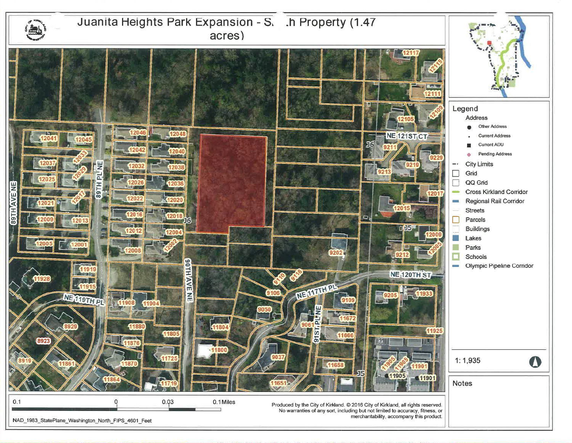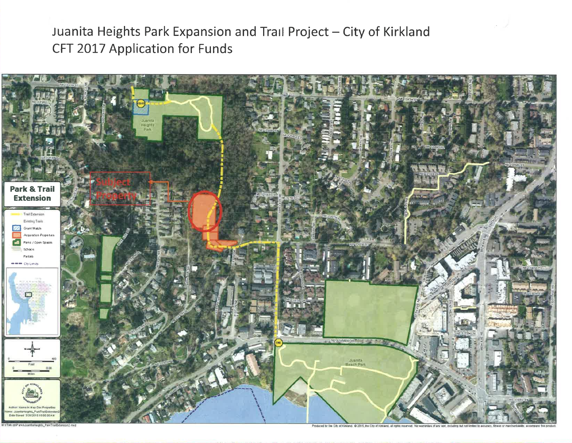Juanita Heights Park Expansion and Trail Project - City of Kirkland CFT 2017 Application for Funds



eights, ParkTrailEdangon2 mxd

Produced by the City of Kiniang. @ 2015, the City of Kiniand, all rights reserved. No warranties of any soil, including but not limited to accuracy